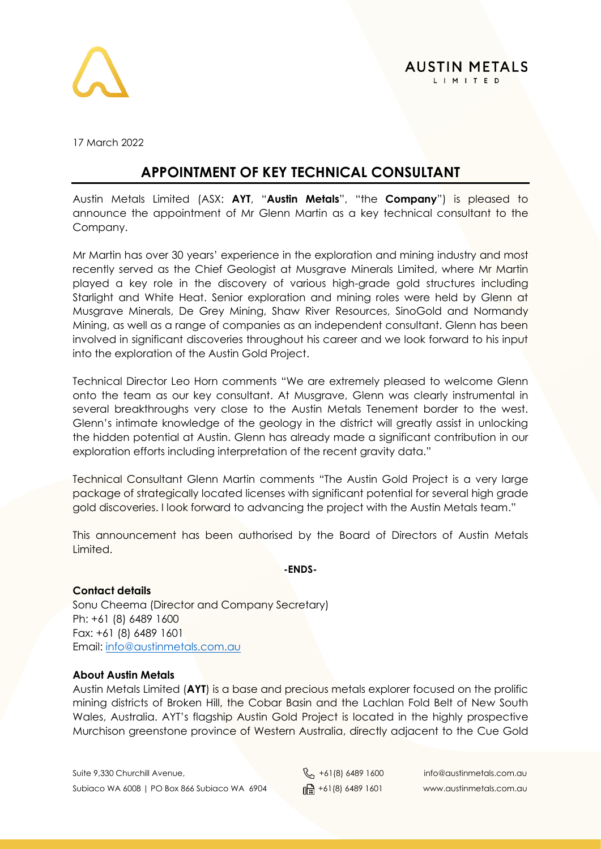

17 March 2022

# **APPOINTMENT OF KEY TECHNICAL CONSULTANT**

Austin Metals Limited (ASX: **AYT**, "**Austin Metals**", "the **Company**") is pleased to announce the appointment of Mr Glenn Martin as a key technical consultant to the Company.

Mr Martin has over 30 years' experience in the exploration and mining industry and most recently served as the Chief Geologist at Musgrave Minerals Limited, where Mr Martin played a key role in the discovery of various high-grade gold structures including Starlight and White Heat. Senior exploration and mining roles were held by Glenn at Musgrave Minerals, De Grey Mining, Shaw River Resources, SinoGold and Normandy Mining, as well as a range of companies as an independent consultant. Glenn has been involved in significant discoveries throughout his career and we look forward to his input into the exploration of the Austin Gold Project.

Technical Director Leo Horn comments "We are extremely pleased to welcome Glenn onto the team as our key consultant. At Musgrave, Glenn was clearly instrumental in several breakthroughs very close to the Austin Metals Tenement border to the west. Glenn's intimate knowledge of the geology in the district will greatly assist in unlocking the hidden potential at Austin. Glenn has already made a significant contribution in our exploration efforts including interpretation of the recent gravity data."

Technical Consultant Glenn Martin comments "The Austin Gold Project is a very large package of strategically located licenses with significant potential for several high grade gold discoveries. I look forward to advancing the project with the Austin Metals team."

This announcement has been authorised by the Board of Directors of Austin Metals Limited.

#### **-ENDS-**

## **Contact details**

Sonu Cheema (Director and Company Secretary) Ph: +61 (8) 6489 1600 Fax: +61 (8) 6489 1601 Email: [info@austinmetals.com.au](mailto:info@austinmetals.com.au) 

## **About Austin Metals**

Austin Metals Limited (**AYT**) is a base and precious metals explorer focused on the prolific mining districts of Broken Hill, the Cobar Basin and the Lachlan Fold Belt of New South Wales, Australia. AYT's flagship Austin Gold Project is located in the highly prospective Murchison greenstone province of Western Australia, directly adjacent to the Cue Gold

Suite 9,330 Churchill Avenue,  $\begin{matrix}8 \\ +61(8) \\ 6489 \end{matrix}$  +61(8) 6489 1600 info@austinmetals.com.au Subiaco WA 6008 | PO Box 866 Subiaco WA 6904  $\lim_{\theta \to 0} +61(8)$  6489 1601 www.austinmetals.com.au